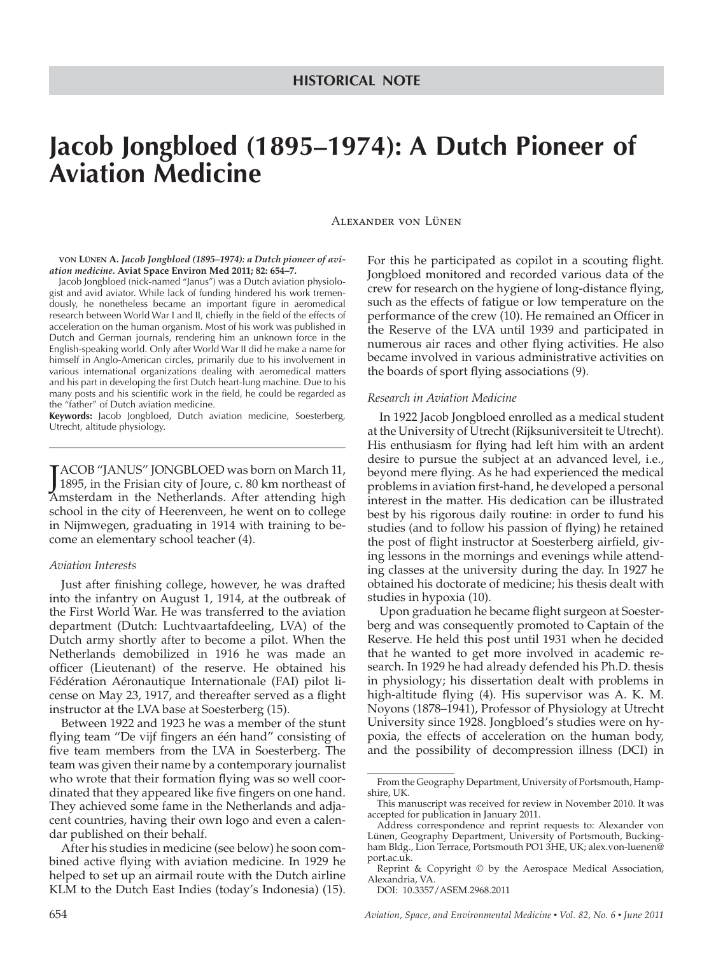# **Jacob Jongbloed (1895 – 1974): A Dutch Pioneer of Aviation Medicine**

Alexander von Lünen

**VON L ÜNEN A.** *Jacob Jongbloed (1895 – 1974): a Dutch pioneer of aviation medicine.* **Aviat Space Environ Med 2011; 82: 654 – 7 .** 

Jacob Jongbloed (nick-named "Janus") was a Dutch aviation physiologist and avid aviator. While lack of funding hindered his work tremendously, he nonetheless became an important figure in aeromedical research between World War I and II, chiefly in the field of the effects of acceleration on the human organism. Most of his work was published in Dutch and German journals, rendering him an unknown force in the English-speaking world. Only after World War II did he make a name for himself in Anglo-American circles, primarily due to his involvement in various international organizations dealing with aeromedical matters and his part in developing the first Dutch heart-lung machine. Due to his many posts and his scientific work in the field, he could be regarded as the "father" of Dutch aviation medicine.

Keywords: Jacob Jongbloed, Dutch aviation medicine, Soesterberg, Utrecht, altitude physiology.

JACOB "JANUS" JONGBLOED was born on March 11,<br>1895, in the Frisian city of Joure, c. 80 km northeast of<br>Amsterdam in the Netherlands. After attending high " ACOB "JANUS" JONGBLOED was born on March 11, 1895, in the Frisian city of Joure, c. 80 km northeast of school in the city of Heerenveen, he went on to college in Nijmwegen, graduating in 1914 with training to become an elementary school teacher (4).

## *Aviation Interests*

Just after finishing college, however, he was drafted into the infantry on August 1, 1914, at the outbreak of the First World War. He was transferred to the aviation department (Dutch: Luchtvaartafdeeling, LVA) of the Dutch army shortly after to become a pilot. When the Netherlands demobilized in 1916 he was made an officer (Lieutenant) of the reserve. He obtained his Fédération Aéronautique Internationale (FAI) pilot license on May 23, 1917, and thereafter served as a flight instructor at the LVA base at Soesterberg (15).

 Between 1922 and 1923 he was a member of the stunt flying team "De vijf fingers an één hand" consisting of five team members from the LVA in Soesterberg. The team was given their name by a contemporary journalist who wrote that their formation flying was so well coordinated that they appeared like five fingers on one hand. They achieved some fame in the Netherlands and adjacent countries, having their own logo and even a calendar published on their behalf.

 After his studies in medicine (see below) he soon combined active flying with aviation medicine. In 1929 he helped to set up an airmail route with the Dutch airline KLM to the Dutch East Indies (today's Indonesia) (15).

For this he participated as copilot in a scouting flight. Jongbloed monitored and recorded various data of the crew for research on the hygiene of long-distance flying, such as the effects of fatigue or low temperature on the performance of the crew (10). He remained an Officer in the Reserve of the LVA until 1939 and participated in numerous air races and other flying activities. He also became involved in various administrative activities on the boards of sport flying associations  $(9)$ .

#### *Research in Aviation Medicine*

 In 1922 Jacob Jongbloed enrolled as a medical student at the University of Utrecht (Rijksuniversiteit te Utrecht). His enthusiasm for flying had left him with an ardent desire to pursue the subject at an advanced level, i.e., beyond mere flying. As he had experienced the medical problems in aviation first-hand, he developed a personal interest in the matter. His dedication can be illustrated best by his rigorous daily routine: in order to fund his studies (and to follow his passion of flying) he retained the post of flight instructor at Soesterberg airfield, giving lessons in the mornings and evenings while attending classes at the university during the day. In 1927 he obtained his doctorate of medicine; his thesis dealt with studies in hypoxia (10).

Upon graduation he became flight surgeon at Soesterberg and was consequently promoted to Captain of the Reserve. He held this post until 1931 when he decided that he wanted to get more involved in academic research. In 1929 he had already defended his Ph.D. thesis in physiology; his dissertation dealt with problems in high-altitude flying (4). His supervisor was A. K. M. Noyons (1878–1941), Professor of Physiology at Utrecht University since 1928. Jongbloed's studies were on hypoxia, the effects of acceleration on the human body, and the possibility of decompression illness (DCI) in

From the Geography Department, University of Portsmouth, Hampshire, UK.

This manuscript was received for review in November 2010. It was accepted for publication in January 2011.

Address correspondence and reprint requests to: Alexander von Lünen, Geography Department, University of Portsmouth, Buckingham Bldg., Lion Terrace, Portsmouth PO1 3HE, UK; alex.von-luenen@ port.ac.uk.

Reprint & Copyright © by the Aerospace Medical Association, Alexandria, VA.

DOI: 10.3357/ASEM.2968.2011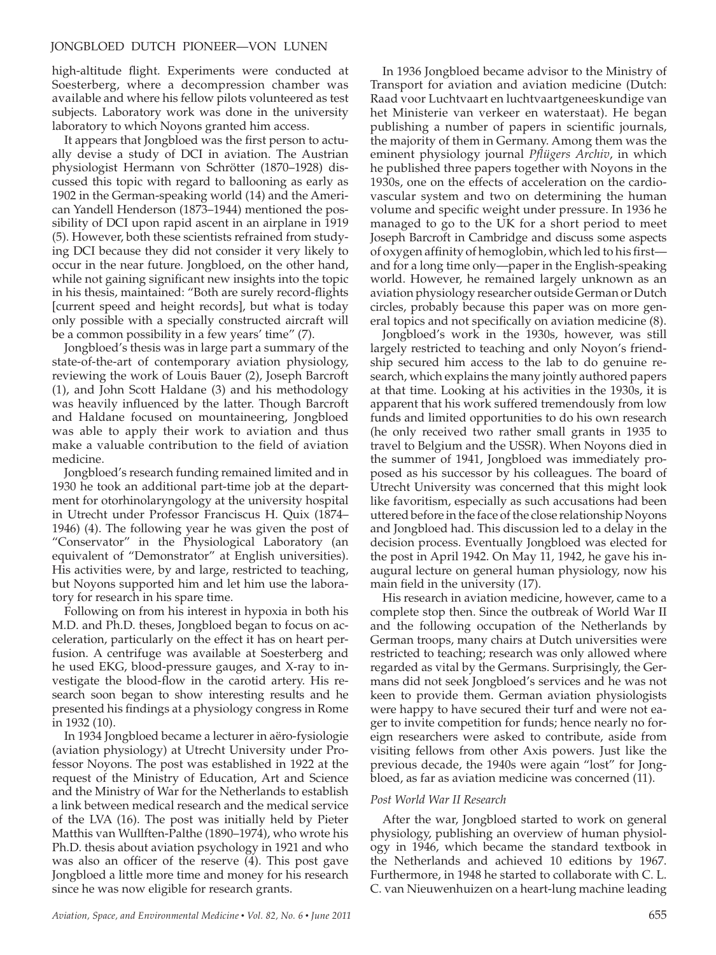# JONGBLOED DUTCH PIONEER-VON LUNEN

high-altitude flight. Experiments were conducted at Soesterberg, where a decompression chamber was available and where his fellow pilots volunteered as test subjects. Laboratory work was done in the university laboratory to which Noyons granted him access.

It appears that Jongbloed was the first person to actually devise a study of DCI in aviation. The Austrian physiologist Hermann von Schrötter (1870–1928) discussed this topic with regard to ballooning as early as 1902 in the German-speaking world (14) and the American Yandell Henderson (1873–1944) mentioned the possibility of DCI upon rapid ascent in an airplane in 1919 (5). However, both these scientists refrained from studying DCI because they did not consider it very likely to occur in the near future. Jongbloed, on the other hand, while not gaining significant new insights into the topic in his thesis, maintained: "Both are surely record-flights [current speed and height records], but what is today only possible with a specially constructed aircraft will be a common possibility in a few years' time" (7).

 Jongbloed's thesis was in large part a summary of the state-of-the-art of contemporary aviation physiology, reviewing the work of Louis Bauer (2), Joseph Barcroft  $(1)$ , and John Scott Haldane  $(3)$  and his methodology was heavily influenced by the latter. Though Barcroft and Haldane focused on mountaineering, Jongbloed was able to apply their work to aviation and thus make a valuable contribution to the field of aviation medicine.

 Jongbloed's research funding remained limited and in 1930 he took an additional part-time job at the department for otorhinolaryngology at the university hospital in Utrecht under Professor Franciscus H. Quix (1874 – 1946) (4). The following year he was given the post of "Conservator" in the Physiological Laboratory (an equivalent of "Demonstrator" at English universities). His activities were, by and large, restricted to teaching, but Noyons supported him and let him use the laboratory for research in his spare time.

 Following on from his interest in hypoxia in both his M.D. and Ph.D. theses, Jongbloed began to focus on acceleration, particularly on the effect it has on heart perfusion. A centrifuge was available at Soesterberg and he used EKG, blood-pressure gauges, and X-ray to investigate the blood-flow in the carotid artery. His research soon began to show interesting results and he presented his findings at a physiology congress in Rome in  $1932(10)$ .

 In 1934 Jongbloed became a lecturer in aëro-fysiologie (aviation physiology) at Utrecht University under Professor Noyons. The post was established in 1922 at the request of the Ministry of Education, Art and Science and the Ministry of War for the Netherlands to establish a link between medical research and the medical service of the LVA (16). The post was initially held by Pieter Matthis van Wullften-Palthe (1890–1974), who wrote his Ph.D. thesis about aviation psychology in 1921 and who was also an officer of the reserve  $(4)$ . This post gave Jongbloed a little more time and money for his research since he was now eligible for research grants.

 In 1936 Jongbloed became advisor to the Ministry of Transport for aviation and aviation medicine (Dutch: Raad voor Luchtvaart en luchtvaartgeneeskundige van het Ministerie van verkeer en waterstaat). He began publishing a number of papers in scientific journals, the majority of them in Germany. Among them was the eminent physiology journal *Pflügers Archiv*, in which he published three papers together with Noyons in the 1930s, one on the effects of acceleration on the cardiovascular system and two on determining the human volume and specific weight under pressure. In 1936 he managed to go to the UK for a short period to meet Joseph Barcroft in Cambridge and discuss some aspects of oxygen affinity of hemoglobin, which led to his firstand for a long time only—paper in the English-speaking world. However, he remained largely unknown as an aviation physiology researcher outside German or Dutch circles, probably because this paper was on more general topics and not specifically on aviation medicine  $(8)$ .

 Jongbloed's work in the 1930s, however, was still largely restricted to teaching and only Noyon's friendship secured him access to the lab to do genuine research, which explains the many jointly authored papers at that time. Looking at his activities in the 1930s, it is apparent that his work suffered tremendously from low funds and limited opportunities to do his own research (he only received two rather small grants in 1935 to travel to Belgium and the USSR). When Noyons died in the summer of 1941, Jongbloed was immediately proposed as his successor by his colleagues. The board of Utrecht University was concerned that this might look like favoritism, especially as such accusations had been uttered before in the face of the close relationship Noyons and Jongbloed had. This discussion led to a delay in the decision process. Eventually Jongbloed was elected for the post in April 1942. On May 11, 1942, he gave his inaugural lecture on general human physiology, now his main field in the university (17).

 His research in aviation medicine, however, came to a complete stop then. Since the outbreak of World War II and the following occupation of the Netherlands by German troops, many chairs at Dutch universities were restricted to teaching; research was only allowed where regarded as vital by the Germans. Surprisingly, the Germans did not seek Jongbloed's services and he was not keen to provide them. German aviation physiologists were happy to have secured their turf and were not eager to invite competition for funds; hence nearly no foreign researchers were asked to contribute, aside from visiting fellows from other Axis powers. Just like the previous decade, the 1940s were again "lost" for Jongbloed, as far as aviation medicine was concerned (11).

### *Post World War II Research*

 After the war, Jongbloed started to work on general physiology, publishing an overview of human physiology in 1946, which became the standard textbook in the Netherlands and achieved 10 editions by 1967. Furthermore, in 1948 he started to collaborate with C. L. C. van Nieuwenhuizen on a heart-lung machine leading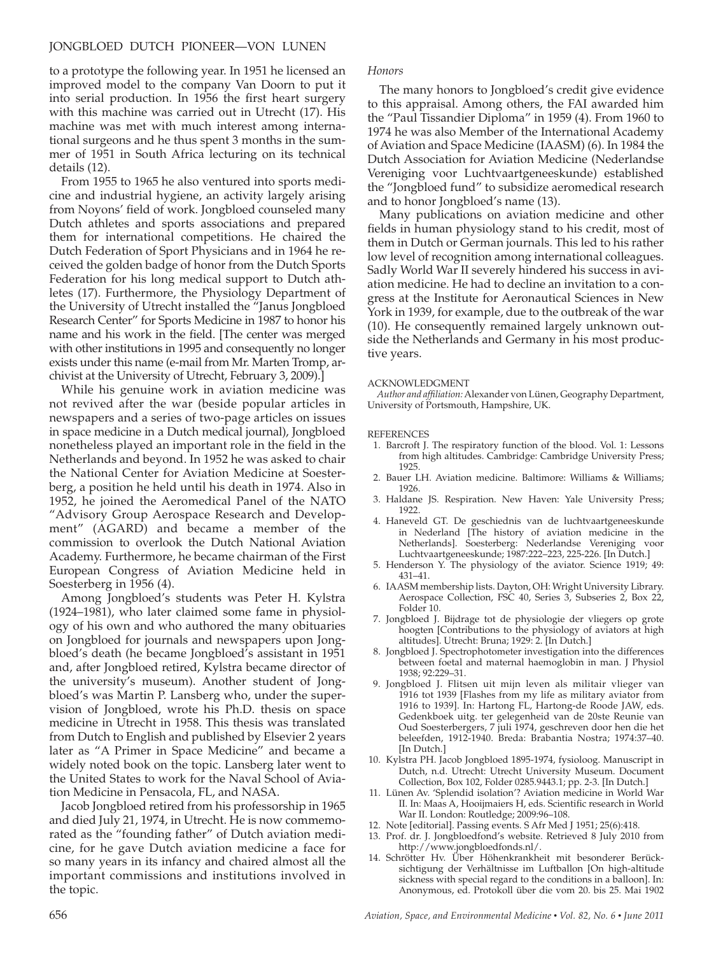# JONGBLOED DUTCH PIONEER-VON LUNEN

to a prototype the following year. In 1951 he licensed an improved model to the company Van Doorn to put it into serial production. In 1956 the first heart surgery with this machine was carried out in Utrecht (17). His machine was met with much interest among international surgeons and he thus spent 3 months in the summer of 1951 in South Africa lecturing on its technical details (12).

 From 1955 to 1965 he also ventured into sports medicine and industrial hygiene, an activity largely arising from Noyons' field of work. Jongbloed counseled many Dutch athletes and sports associations and prepared them for international competitions. He chaired the Dutch Federation of Sport Physicians and in 1964 he received the golden badge of honor from the Dutch Sports Federation for his long medical support to Dutch athletes (17). Furthermore, the Physiology Department of the University of Utrecht installed the " Janus Jongbloed Research Center" for Sports Medicine in 1987 to honor his name and his work in the field. [The center was merged with other institutions in 1995 and consequently no longer exists under this name (e-mail from Mr. Marten Tromp, archivist at the University of Utrecht, February 3, 2009).]

 While his genuine work in aviation medicine was not revived after the war (beside popular articles in newspapers and a series of two-page articles on issues in space medicine in a Dutch medical journal), Jongbloed nonetheless played an important role in the field in the Netherlands and beyond. In 1952 he was asked to chair the National Center for Aviation Medicine at Soesterberg, a position he held until his death in 1974. Also in 1952, he joined the Aeromedical Panel of the NATO " Advisory Group Aerospace Research and Development" (AGARD) and became a member of the commission to overlook the Dutch National Aviation Academy. Furthermore, he became chairman of the First European Congress of Aviation Medicine held in Soesterberg in 1956 (4).

 Among Jongbloed's students was Peter H. Kylstra (1924–1981), who later claimed some fame in physiology of his own and who authored the many obituaries on Jongbloed for journals and newspapers upon Jongbloed's death (he became Jongbloed's assistant in 1951 and, after Jongbloed retired, Kylstra became director of the university's museum). Another student of Jongbloed's was Martin P. Lansberg who, under the supervision of Jongbloed, wrote his Ph.D. thesis on space medicine in Utrecht in 1958. This thesis was translated from Dutch to English and published by Elsevier 2 years later as "A Primer in Space Medicine" and became a widely noted book on the topic. Lansberg later went to the United States to work for the Naval School of Aviation Medicine in Pensacola, FL, and NASA.

 Jacob Jongbloed retired from his professorship in 1965 and died July 21, 1974, in Utrecht. He is now commemorated as the "founding father" of Dutch aviation medicine, for he gave Dutch aviation medicine a face for so many years in its infancy and chaired almost all the important commissions and institutions involved in the topic.

#### *Honors*

 The many honors to Jongbloed's credit give evidence to this appraisal. Among others, the FAI awarded him the "Paul Tissandier Diploma" in 1959 (4). From 1960 to 1974 he was also Member of the International Academy of Aviation and Space Medicine (IAASM) (6). In 1984 the Dutch Association for Aviation Medicine (Nederlandse Vereniging voor Luchtvaartgeneeskunde) established the "Jongbloed fund" to subsidize aeromedical research and to honor Jongbloed's name (13).

 Many publications on aviation medicine and other fields in human physiology stand to his credit, most of them in Dutch or German journals. This led to his rather low level of recognition among international colleagues. Sadly World War II severely hindered his success in aviation medicine. He had to decline an invitation to a congress at the Institute for Aeronautical Sciences in New York in 1939, for example, due to the outbreak of the war (10). He consequently remained largely unknown outside the Netherlands and Germany in his most productive years.

#### ACKNOWLEDGMENT

*Author and affi liation:* Alexander von Lünen, Geography Department, University of Portsmouth, Hampshire, UK.

#### **REFERENCES**

- 1. Barcroft J. The respiratory function of the blood. Vol. 1: Lessons from high altitudes. Cambridge: Cambridge University Press; 1925 .
- 2. Bauer LH. Aviation medicine. Baltimore: Williams & Williams; 1926
- 3. Haldane JS. Respiration. New Haven: Yale University Press; 1922
- 4. Haneveld GT . De geschiednis van de luchtvaartgeneeskunde in Nederland [The history of aviation medicine in the Netherlands]. Soesterberg: Nederlandse Vereniging voor Luchtvaartgeneeskunde; 1987:222-223, 225-226. [In Dutch.]
- 5. Henderson Y. The physiology of the aviator. Science 1919; 49: 431-41.
- 6. IAASM membership lists. Dayton, OH: Wright University Library. Aerospace Collection, FSC 40, Series 3, Subseries 2, Box 22, Folder 10.
- 7. Jongbloed J. Bijdrage tot de physiologie der vliegers op grote hoogten [Contributions to the physiology of aviators at high altitudes]. Utrecht: Bruna; 1929: 2. [In Dutch.]
- 8. Jongbloed J. Spectrophotometer investigation into the differences between foetal and maternal haemoglobin in man . J Physiol 1938: 92:229-31.
- 9. Jongbloed J. Flitsen uit mijn leven als militair vlieger van 1916 tot 1939 [Flashes from my life as military aviator from 1916 to 1939]. In: Hartong FL, Hartong-de Roode JAW, eds. Gedenkboek uitg. ter gelegenheid van de 20ste Reunie van Oud Soesterbergers, 7 juli 1974, geschreven door hen die het beleefden, 1912-1940. Breda: Brabantia Nostra; 1974:37-40. [In Dutch.]
- 10. Kylstra PH. Jacob Jongbloed 1895-1974, fysioloog. Manuscript in Dutch, n.d. Utrecht: Utrecht University Museum. Document Collection, Box 102, Folder 0285.9443.1; pp. 2-3. [In Dutch.]
- 11. Lünen Av . 'Splendid isolation'? Aviation medicine in World War II. In: Maas A, Hooijmaiers H, eds. Scientific research in World War II. London: Routledge; 2009:96-108
- 12. Note [editorial]. Passing events. S Afr Med J 1951; 25(6):418.
- 13. Prof. dr. J. Jongbloedfond's website. Retrieved 8 July 2010 from http://www.jongbloedfonds.nl/ .
- 14. Schrötter Hv. Über Höhenkrankheit mit besonderer Berücksichtigung der Verhältnisse im Luftballon [On high-altitude sickness with special regard to the conditions in a balloon]. In: Anonymous, ed . Protokoll über die vom 20. bis 25. Mai 1902